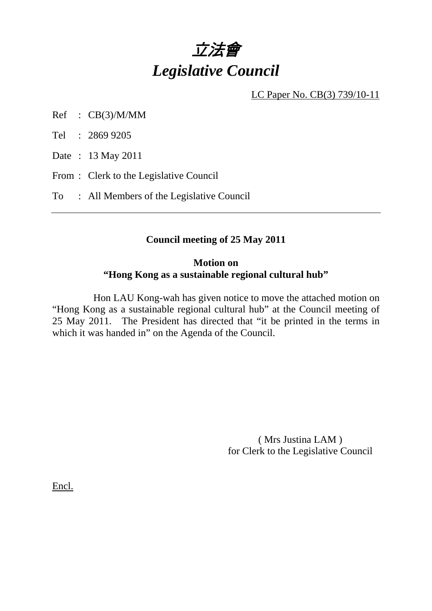# 立法會 *Legislative Council*

LC Paper No. CB(3) 739/10-11

Ref : CB(3)/M/MM

Tel : 2869 9205

Date : 13 May 2011

From : Clerk to the Legislative Council

To : All Members of the Legislative Council

#### **Council meeting of 25 May 2011**

#### **Motion on "Hong Kong as a sustainable regional cultural hub"**

 Hon LAU Kong-wah has given notice to move the attached motion on "Hong Kong as a sustainable regional cultural hub" at the Council meeting of 25 May 2011. The President has directed that "it be printed in the terms in which it was handed in" on the Agenda of the Council.

> ( Mrs Justina LAM ) for Clerk to the Legislative Council

Encl.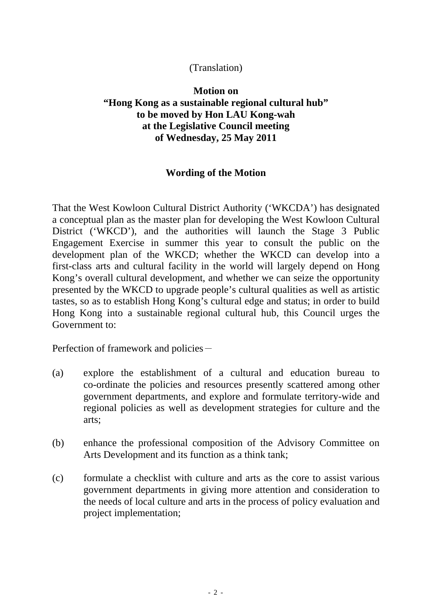### (Translation)

## **Motion on "Hong Kong as a sustainable regional cultural hub" to be moved by Hon LAU Kong-wah at the Legislative Council meeting of Wednesday, 25 May 2011**

## **Wording of the Motion**

That the West Kowloon Cultural District Authority ('WKCDA') has designated a conceptual plan as the master plan for developing the West Kowloon Cultural District ('WKCD'), and the authorities will launch the Stage 3 Public Engagement Exercise in summer this year to consult the public on the development plan of the WKCD; whether the WKCD can develop into a first-class arts and cultural facility in the world will largely depend on Hong Kong's overall cultural development, and whether we can seize the opportunity presented by the WKCD to upgrade people's cultural qualities as well as artistic tastes, so as to establish Hong Kong's cultural edge and status; in order to build Hong Kong into a sustainable regional cultural hub, this Council urges the Government to:

Perfection of framework and policies-

- (a) explore the establishment of a cultural and education bureau to co-ordinate the policies and resources presently scattered among other government departments, and explore and formulate territory-wide and regional policies as well as development strategies for culture and the arts;
- (b) enhance the professional composition of the Advisory Committee on Arts Development and its function as a think tank;
- (c) formulate a checklist with culture and arts as the core to assist various government departments in giving more attention and consideration to the needs of local culture and arts in the process of policy evaluation and project implementation;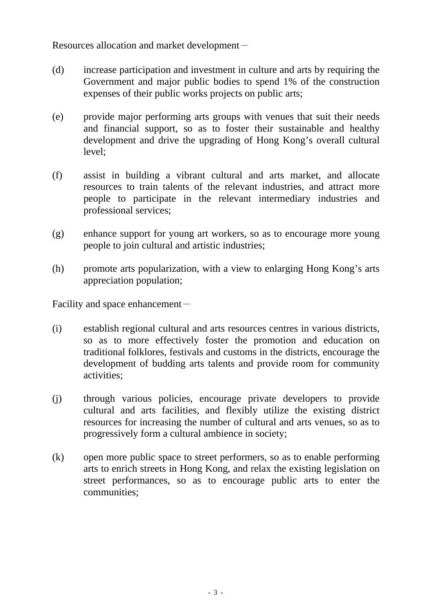Resources allocation and market development-

- (d) increase participation and investment in culture and arts by requiring the Government and major public bodies to spend 1% of the construction expenses of their public works projects on public arts;
- (e) provide major performing arts groups with venues that suit their needs and financial support, so as to foster their sustainable and healthy development and drive the upgrading of Hong Kong's overall cultural level;
- (f) assist in building a vibrant cultural and arts market, and allocate resources to train talents of the relevant industries, and attract more people to participate in the relevant intermediary industries and professional services;
- (g) enhance support for young art workers, so as to encourage more young people to join cultural and artistic industries;
- (h) promote arts popularization, with a view to enlarging Hong Kong's arts appreciation population;

Facility and space enhancement $-$ 

- (i) establish regional cultural and arts resources centres in various districts, so as to more effectively foster the promotion and education on traditional folklores, festivals and customs in the districts, encourage the development of budding arts talents and provide room for community activities;
- (j) through various policies, encourage private developers to provide cultural and arts facilities, and flexibly utilize the existing district resources for increasing the number of cultural and arts venues, so as to progressively form a cultural ambience in society;
- (k) open more public space to street performers, so as to enable performing arts to enrich streets in Hong Kong, and relax the existing legislation on street performances, so as to encourage public arts to enter the communities;